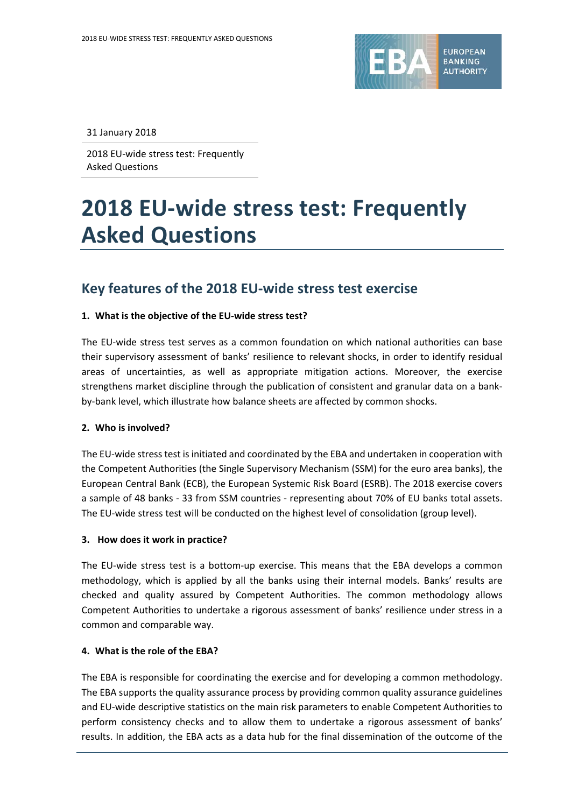

31 January 2018

2018 EU-wide stress test: Frequently Asked Questions

# **2018 EU-wide stress test: Frequently Asked Questions**

# **Key features of the 2018 EU-wide stress test exercise**

#### **1. What is the objective of the EU-wide stress test?**

The EU-wide stress test serves as a common foundation on which national authorities can base their supervisory assessment of banks' resilience to relevant shocks, in order to identify residual areas of uncertainties, as well as appropriate mitigation actions. Moreover, the exercise strengthens market discipline through the publication of consistent and granular data on a bankby-bank level, which illustrate how balance sheets are affected by common shocks.

#### **2. Who is involved?**

The EU-wide stress test is initiated and coordinated by the EBA and undertaken in cooperation with the Competent Authorities (the Single Supervisory Mechanism (SSM) for the euro area banks), the European Central Bank (ECB), the European Systemic Risk Board (ESRB). The 2018 exercise covers a sample of 48 banks - 33 from SSM countries - representing about 70% of EU banks total assets. The EU-wide stress test will be conducted on the highest level of consolidation (group level).

#### **3. How does it work in practice?**

The EU-wide stress test is a bottom-up exercise. This means that the EBA develops a common methodology, which is applied by all the banks using their internal models. Banks' results are checked and quality assured by Competent Authorities. The common methodology allows Competent Authorities to undertake a rigorous assessment of banks' resilience under stress in a common and comparable way.

#### **4. What is the role of the EBA?**

The EBA is responsible for coordinating the exercise and for developing a common methodology. The EBA supports the quality assurance process by providing common quality assurance guidelines and EU-wide descriptive statistics on the main risk parameters to enable Competent Authorities to perform consistency checks and to allow them to undertake a rigorous assessment of banks' results. In addition, the EBA acts as a data hub for the final dissemination of the outcome of the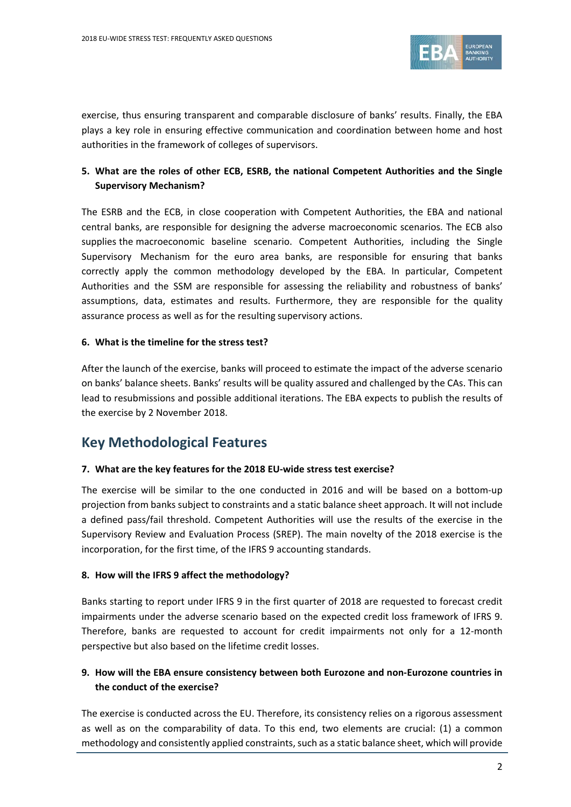

exercise, thus ensuring transparent and comparable disclosure of banks' results. Finally, the EBA plays a key role in ensuring effective communication and coordination between home and host authorities in the framework of colleges of supervisors.

# **5. What are the roles of other ECB, ESRB, the national Competent Authorities and the Single Supervisory Mechanism?**

The ESRB and the ECB, in close cooperation with Competent Authorities, the EBA and national central banks, are responsible for designing the adverse macroeconomic scenarios. The ECB also supplies the macroeconomic baseline scenario. Competent Authorities, including the Single Supervisory Mechanism for the euro area banks, are responsible for ensuring that banks correctly apply the common methodology developed by the EBA. In particular, Competent Authorities and the SSM are responsible for assessing the reliability and robustness of banks' assumptions, data, estimates and results. Furthermore, they are responsible for the quality assurance process as well as for the resulting supervisory actions.

#### **6. What is the timeline for the stress test?**

After the launch of the exercise, banks will proceed to estimate the impact of the adverse scenario on banks' balance sheets. Banks' results will be quality assured and challenged by the CAs. This can lead to resubmissions and possible additional iterations. The EBA expects to publish the results of the exercise by 2 November 2018.

# **Key Methodological Features**

## **7. What are the key features for the 2018 EU-wide stress test exercise?**

The exercise will be similar to the one conducted in 2016 and will be based on a bottom-up projection from banks subject to constraints and a static balance sheet approach. It will not include a defined pass/fail threshold. Competent Authorities will use the results of the exercise in the Supervisory Review and Evaluation Process (SREP). The main novelty of the 2018 exercise is the incorporation, for the first time, of the IFRS 9 accounting standards.

#### **8. How will the IFRS 9 affect the methodology?**

Banks starting to report under IFRS 9 in the first quarter of 2018 are requested to forecast credit impairments under the adverse scenario based on the expected credit loss framework of IFRS 9. Therefore, banks are requested to account for credit impairments not only for a 12-month perspective but also based on the lifetime credit losses.

## **9. How will the EBA ensure consistency between both Eurozone and non-Eurozone countries in the conduct of the exercise?**

The exercise is conducted across the EU. Therefore, its consistency relies on a rigorous assessment as well as on the comparability of data. To this end, two elements are crucial: (1) a common methodology and consistently applied constraints, such as a static balance sheet, which will provide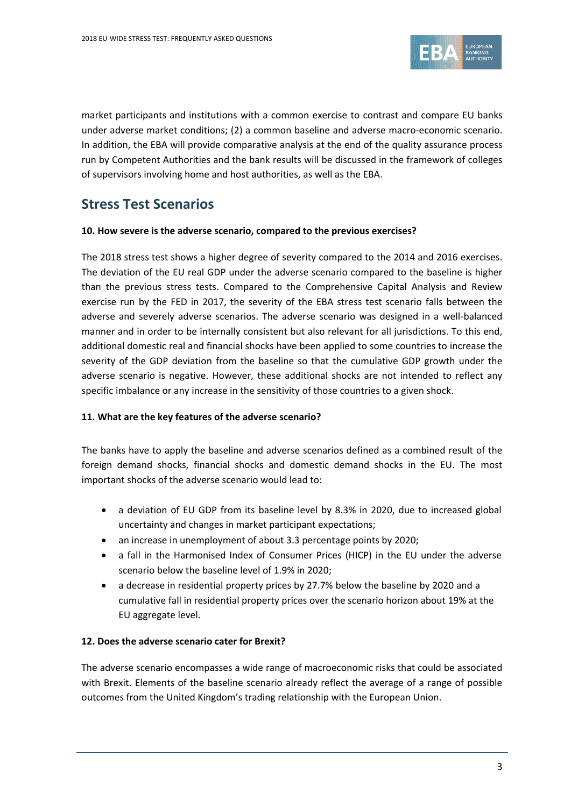

market participants and institutions with a common exercise to contrast and compare EU banks under adverse market conditions; (2) a common baseline and adverse macro-economic scenario. In addition, the EBA will provide comparative analysis at the end of the quality assurance process run by Competent Authorities and the bank results will be discussed in the framework of colleges of supervisors involving home and host authorities, as well as the EBA.

# **Stress Test Scenarios**

#### **10. How severe is the adverse scenario, compared to the previous exercises?**

The 2018 stress test shows a higher degree of severity compared to the 2014 and 2016 exercises. The deviation of the EU real GDP under the adverse scenario compared to the baseline is higher than the previous stress tests. Compared to the Comprehensive Capital Analysis and Review exercise run by the FED in 2017, the severity of the EBA stress test scenario falls between the adverse and severely adverse scenarios. The adverse scenario was designed in a well-balanced manner and in order to be internally consistent but also relevant for all jurisdictions. To this end, additional domestic real and financial shocks have been applied to some countries to increase the severity of the GDP deviation from the baseline so that the cumulative GDP growth under the adverse scenario is negative. However, these additional shocks are not intended to reflect any specific imbalance or any increase in the sensitivity of those countries to a given shock.

## **11. What are the key features of the adverse scenario?**

The banks have to apply the baseline and adverse scenarios defined as a combined result of the foreign demand shocks, financial shocks and domestic demand shocks in the EU. The most important shocks of the adverse scenario would lead to:

- a deviation of EU GDP from its baseline level by 8.3% in 2020, due to increased global uncertainty and changes in market participant expectations;
- an increase in unemployment of about 3.3 percentage points by 2020;
- a fall in the Harmonised Index of Consumer Prices (HICP) in the EU under the adverse scenario below the baseline level of 1.9% in 2020;
- a decrease in residential property prices by 27.7% below the baseline by 2020 and a cumulative fall in residential property prices over the scenario horizon about 19% at the EU aggregate level.

## **12. Does the adverse scenario cater for Brexit?**

The adverse scenario encompasses a wide range of macroeconomic risks that could be associated with Brexit. Elements of the baseline scenario already reflect the average of a range of possible outcomes from the United Kingdom's trading relationship with the European Union.